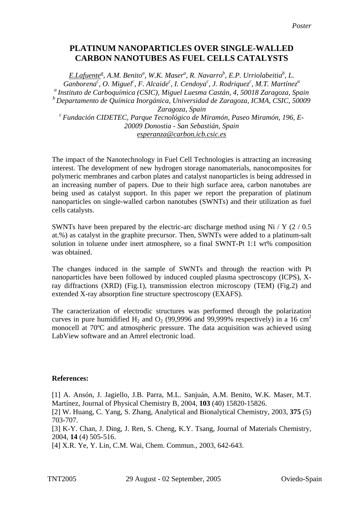## **PLATINUM NANOPARTICLES OVER SINGLE-WALLED CARBON NANOTUBES AS FUEL CELLS CATALYSTS**

*E.Lafuente<sup>ª</sup>, A.M. Benito<sup>ª</sup>, W.K. Maser<sup>ª</sup>, R. Navarro<sup>b</sup>, E.P. Urriolabeitia<sup>b</sup>, L. Ganborenac , O. Miguel<sup>c</sup> , F. Alcaide<sup>c</sup> , I. Cendoya<sup>c</sup> , J. Rodriquez<sup>c</sup> , M.T. Martínez<sup>a</sup> a Instituto de Carboquímica (CSIC), Miguel Luesma Castán, 4, 50018 Zaragoza, Spain b Departamento de Química Inorgánica, Universidad de Zaragoza, ICMA, CSIC, 50009*  Zaragoza, Spain<br><sup>c</sup> Fundación CIDETEC, Parque Tecnológico de Miramón, Paseo Miramón, 196, E-*20009 Donostia - San Sebastián, Spain esperanza@carbon.icb.csic.es*

The impact of the Nanotechnology in Fuel Cell Technologies is attracting an increasing interest. The development of new hydrogen storage nanomaterials, nanocomposites for polymeric membranes and carbon plates and catalyst nanoparticles is being addressed in an increasing number of papers. Due to their high surface area, carbon nanotubes are being used as catalyst support. In this paper we report the preparation of platinum nanoparticles on single-walled carbon nanotubes (SWNTs) and their utilization as fuel cells catalysts.

SWNTs have been prepared by the electric-arc discharge method using Ni / Y  $(2 / 0.5)$ at.%) as catalyst in the graphite precursor. Then, SWNTs were added to a platinum-salt solution in toluene under inert atmosphere, so a final SWNT-Pt 1:1 wt% composition was obtained.

The changes induced in the sample of SWNTs and through the reaction with Pt nanoparticles have been followed by induced coupled plasma spectroscopy (ICPS), Xray diffractions (XRD) (Fig.1), transmission electron microscopy (TEM) (Fig.2) and extended X-ray absorption fine structure spectroscopy (EXAFS).

The caracterization of electrodic structures was performed through the polarization curves in pure humidified H<sub>2</sub> and O<sub>2</sub> (99,9996 and 99,999% respectively) in a 16 cm<sup>2</sup> monocell at 70ºC and atmospheric pressure. The data acquisition was achieved using LabView software and an Amrel electronic load.

## **References:**

[1] A. Ansón, J. Jagiello, J.B. Parra, M.L. Sanjuán, A.M. Benito, W.K. Maser, M.T. Martínez, Journal of Physical Chemistry B, 2004, **103** (40) 15820-15826.

[2] W. Huang, C. Yang, S. Zhang, Analytical and Bionalytical Chemistry, 2003, **375** (5) 703-707.

[3] K-Y. Chan, J. Ding, J. Ren, S. Cheng, K.Y. Tsang, Journal of Materials Chemistry, 2004, **14** (4) 505-516.

[4] X.R. Ye, Y. Lin, C.M. Wai, Chem. Commun., 2003, 642-643.